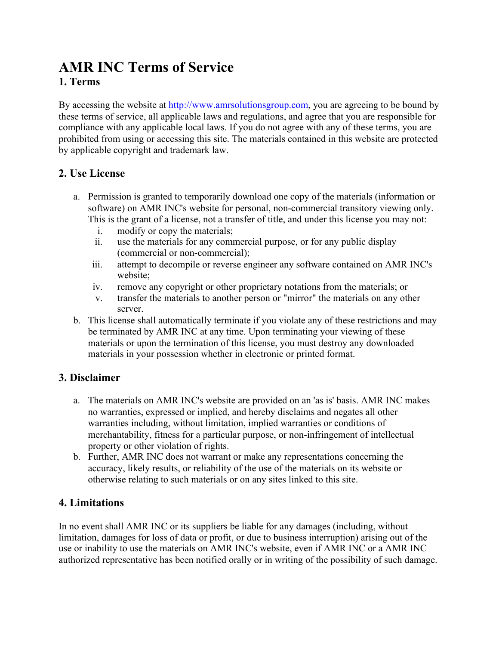# **AMR INC Terms of Service 1. Terms**

By accessing the website at [http://www.amrsolutionsgroup.com](http://www.amrsolutionsgroup.com/), you are agreeing to be bound by these terms of service, all applicable laws and regulations, and agree that you are responsible for compliance with any applicable local laws. If you do not agree with any of these terms, you are prohibited from using or accessing this site. The materials contained in this website are protected by applicable copyright and trademark law.

#### **2. Use License**

- a. Permission is granted to temporarily download one copy of the materials (information or software) on AMR INC's website for personal, non-commercial transitory viewing only. This is the grant of a license, not a transfer of title, and under this license you may not:
	- i. modify or copy the materials;
	- ii. use the materials for any commercial purpose, or for any public display (commercial or non-commercial);
	- iii. attempt to decompile or reverse engineer any software contained on AMR INC's website;
	- iv. remove any copyright or other proprietary notations from the materials; or
	- v. transfer the materials to another person or "mirror" the materials on any other server.
- b. This license shall automatically terminate if you violate any of these restrictions and may be terminated by AMR INC at any time. Upon terminating your viewing of these materials or upon the termination of this license, you must destroy any downloaded materials in your possession whether in electronic or printed format.

# **3. Disclaimer**

- a. The materials on AMR INC's website are provided on an 'as is' basis. AMR INC makes no warranties, expressed or implied, and hereby disclaims and negates all other warranties including, without limitation, implied warranties or conditions of merchantability, fitness for a particular purpose, or non-infringement of intellectual property or other violation of rights.
- b. Further, AMR INC does not warrant or make any representations concerning the accuracy, likely results, or reliability of the use of the materials on its website or otherwise relating to such materials or on any sites linked to this site.

# **4. Limitations**

In no event shall AMR INC or its suppliers be liable for any damages (including, without limitation, damages for loss of data or profit, or due to business interruption) arising out of the use or inability to use the materials on AMR INC's website, even if AMR INC or a AMR INC authorized representative has been notified orally or in writing of the possibility of such damage.